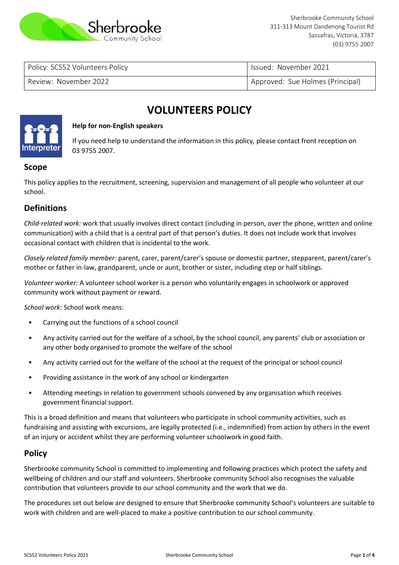

Policy: SCS52 Volunteers Policy Issued: November 2021

Review: November 2022 **Approved: Sue Holmes (Principal)** Approved: Sue Holmes (Principal)

# **VOLUNTEERS POLICY**



#### **Help for non-English speakers**

If you need help to understand the information in this policy, please contact front reception on 03 9755 2007.

## **Scope**

This policy applies to the recruitment, screening, supervision and management of all people who volunteer at our school.

## **Definitions**

*Child-related work:* work that usually involves direct contact (including in person, over the phone, written and online communication) with a child that is a central part of that person's duties. It does not include work that involves occasional contact with children that is incidental to the work.

*Closely related family member:* parent, carer, parent/carer's spouse or domestic partner, stepparent, parent/carer's mother or father in-law, grandparent, uncle or aunt, brother or sister, including step or half siblings.

*Volunteer worker:* A volunteer school worker is a person who voluntarily engages in schoolwork or approved community work without payment or reward.

*School work:* School work means:

- Carrying out the functions of a school council
- Any activity carried out for the welfare of a school, by the school council, any parents' club or association or any other body organised to promote the welfare of the school
- Any activity carried out for the welfare of the school at the request of the principal or school council
- Providing assistance in the work of any school or kindergarten
- Attending meetings in relation to government schools convened by any organisation which receives government financial support.

This is a broad definition and means that volunteers who participate in school community activities, such as fundraising and assisting with excursions, are legally protected (i.e., indemnified) from action by others in the event of an injury or accident whilst they are performing volunteer schoolwork in good faith.

#### **Policy**

Sherbrooke community School is committed to implementing and following practices which protect the safety and wellbeing of children and our staff and volunteers. Sherbrooke community School also recognises the valuable contribution that volunteers provide to our school community and the work that we do.

The procedures set out below are designed to ensure that Sherbrooke community School's volunteers are suitable to work with children and are well-placed to make a positive contribution to our school community.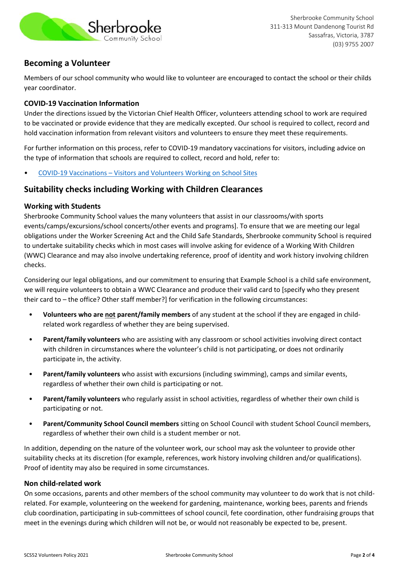

# **Becoming a Volunteer**

Members of our school community who would like to volunteer are encouraged to contact the school or their childs year coordinator.

### **COVID-19 Vaccination Information**

Under the directions issued by the Victorian Chief Health Officer, volunteers attending school to work are required to be vaccinated or provide evidence that they are medically excepted. Our school is required to collect, record and hold vaccination information from relevant visitors and volunteers to ensure they meet these requirements.

For further information on this process, refer to COVID-19 mandatory vaccinations for visitors, including advice on the type of information that schools are required to collect, record and hold, refer to:

• COVID-19 Vaccinations – [Visitors and Volunteers Working on School Sites](https://www2.education.vic.gov.au/pal/covid-19-vaccinations-visitors-volunteers/policy)

## **Suitability checks including Working with Children Clearances**

#### **Working with Students**

Sherbrooke Community School values the many volunteers that assist in our classrooms/with sports events/camps/excursions/school concerts/other events and programs]. To ensure that we are meeting our legal obligations under the Worker Screening Act and the Child Safe Standards, Sherbrooke community School is required to undertake suitability checks which in most cases will involve asking for evidence of a Working With Children (WWC) Clearance and may also involve undertaking reference, proof of identity and work history involving children checks.

Considering our legal obligations, and our commitment to ensuring that Example School is a child safe environment, we will require volunteers to obtain a WWC Clearance and produce their valid card to [specify who they present their card to – the office? Other staff member?] for verification in the following circumstances:

- **Volunteers who are not parent/family members** of any student at the school if they are engaged in childrelated work regardless of whether they are being supervised.
- **Parent/family volunteers** who are assisting with any classroom or school activities involving direct contact with children in circumstances where the volunteer's child is not participating, or does not ordinarily participate in, the activity.
- **Parent/family volunteers** who assist with excursions (including swimming), camps and similar events, regardless of whether their own child is participating or not.
- **Parent/family volunteers** who regularly assist in school activities, regardless of whether their own child is participating or not.
- **Parent/Community School Council members** sitting on School Council with student School Council members, regardless of whether their own child is a student member or not.

In addition, depending on the nature of the volunteer work, our school may ask the volunteer to provide other suitability checks at its discretion (for example, references, work history involving children and/or qualifications). Proof of identity may also be required in some circumstances.

#### **Non child-related work**

On some occasions, parents and other members of the school community may volunteer to do work that is not childrelated. For example, volunteering on the weekend for gardening, maintenance, working bees, parents and friends club coordination, participating in sub-committees of school council, fete coordination, other fundraising groups that meet in the evenings during which children will not be, or would not reasonably be expected to be, present.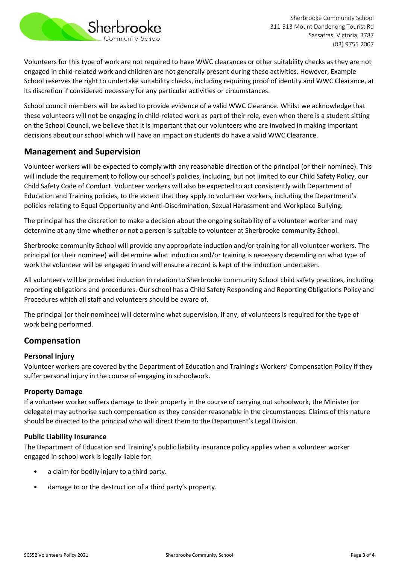

Sherbrooke Community School 311-313 Mount Dandenong Tourist Rd Sassafras, Victoria, 3787 (03) 9755 2007

Volunteers for this type of work are not required to have WWC clearances or other suitability checks as they are not engaged in child-related work and children are not generally present during these activities. However, Example School reserves the right to undertake suitability checks, including requiring proof of identity and WWC Clearance, at its discretion if considered necessary for any particular activities or circumstances.

School council members will be asked to provide evidence of a valid WWC Clearance. Whilst we acknowledge that these volunteers will not be engaging in child-related work as part of their role, even when there is a student sitting on the School Council, we believe that it is important that our volunteers who are involved in making important decisions about our school which will have an impact on students do have a valid WWC Clearance.

## **Management and Supervision**

Volunteer workers will be expected to comply with any reasonable direction of the principal (or their nominee). This will include the requirement to follow our school's policies, including, but not limited to our Child Safety Policy, our Child Safety Code of Conduct. Volunteer workers will also be expected to act consistently with Department of Education and Training policies, to the extent that they apply to volunteer workers, including the Department's policies relating to Equal Opportunity and Anti-Discrimination, Sexual Harassment and Workplace Bullying.

The principal has the discretion to make a decision about the ongoing suitability of a volunteer worker and may determine at any time whether or not a person is suitable to volunteer at Sherbrooke community School.

Sherbrooke community School will provide any appropriate induction and/or training for all volunteer workers. The principal (or their nominee) will determine what induction and/or training is necessary depending on what type of work the volunteer will be engaged in and will ensure a record is kept of the induction undertaken.

All volunteers will be provided induction in relation to Sherbrooke community School child safety practices, including reporting obligations and procedures. Our school has a Child Safety Responding and Reporting Obligations Policy and Procedures which all staff and volunteers should be aware of.

The principal (or their nominee) will determine what supervision, if any, of volunteers is required for the type of work being performed.

# **Compensation**

#### **Personal Injury**

Volunteer workers are covered by the Department of Education and Training's Workers' Compensation Policy if they suffer personal injury in the course of engaging in schoolwork.

#### **Property Damage**

If a volunteer worker suffers damage to their property in the course of carrying out schoolwork, the Minister (or delegate) may authorise such compensation as they consider reasonable in the circumstances. Claims of this nature should be directed to the principal who will direct them to the Department's Legal Division.

#### **Public Liability Insurance**

The Department of Education and Training's public liability insurance policy applies when a volunteer worker engaged in school work is legally liable for:

- a claim for bodily injury to a third party.
- damage to or the destruction of a third party's property.